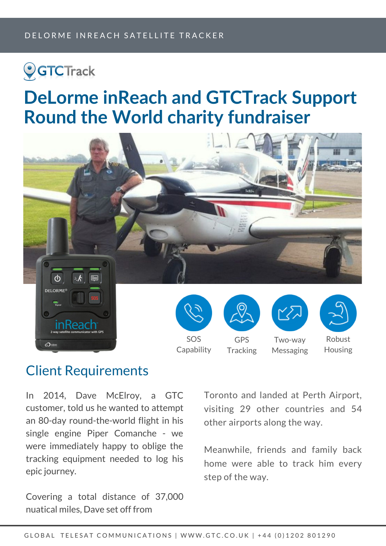# **OGTCTrack**

## **DeLorme inReach and GTCTrack Support Round the World charity fundraiser**



#### Client Requirements

In 2014, Dave McElroy, a GTC customer, told us he wanted to attempt an 80-day round-the-world flight in his single engine Piper Comanche - we were immediately happy to oblige the tracking equipment needed to log his epic journey.

Covering a total distance of 37,000 nuatical miles, Dave set off from

Toronto and landed at Perth Airport, visiting 29 other countries and 54 other airports along the way.

Meanwhile, friends and family back home were able to track him every step of the way.